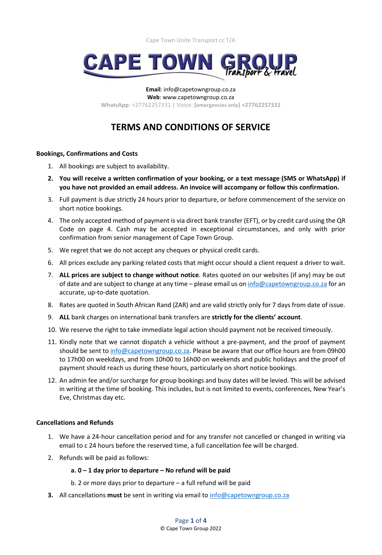

**Email**: info@capetowngroup.co.za **Web**: www.capetowngroup.co.za **WhatsApp**: +27762257331 | Voice: **(emergencies only) +27762257331**

# **TERMS AND CONDITIONS OF SERVICE**

## **Bookings, Confirmations and Costs**

- 1. All bookings are subject to availability.
- **2. You will receive a written confirmation of your booking, or a text message (SMS or WhatsApp) if you have not provided an email address. An invoice will accompany or follow this confirmation.**
- 3. Full payment is due strictly 24 hours prior to departure, or before commencement of the service on short notice bookings.
- 4. The only accepted method of payment is via direct bank transfer (EFT), or by credit card using the QR Code on page 4. Cash may be accepted in exceptional circumstances, and only with prior confirmation from senior management of Cape Town Group.
- 5. We regret that we do not accept any cheques or physical credit cards.
- 6. All prices exclude any parking related costs that might occur should a client request a driver to wait.
- 7. **ALL prices are subject to change without notice**. Rates quoted on our websites (if any) may be out of date and are subject to change at any time - please email us o[n info@capetowngroup.co.za](mailto:info@capetowngroup.co.za) for an accurate, up-to-date quotation.
- 8. Rates are quoted in South African Rand (ZAR) and are valid strictly only for 7 days from date of issue.
- 9. **ALL** bank charges on international bank transfers are **strictly for the clients' account**.
- 10. We reserve the right to take immediate legal action should payment not be received timeously.
- 11. Kindly note that we cannot dispatch a vehicle without a pre-payment, and the proof of payment should be sent to [info@capetowngroup.co.za.](mailto:info@capetowngroup.co.za) Please be aware that our office hours are from 09h00 to 17h00 on weekdays, and from 10h00 to 16h00 on weekends and public holidays and the proof of payment should reach us during these hours, particularly on short notice bookings.
- 12. An admin fee and/or surcharge for group bookings and busy dates will be levied. This will be advised in writing at the time of booking. This includes, but is not limited to events, conferences, New Year's Eve, Christmas day etc.

# **Cancellations and Refunds**

- 1. We have a 24-hour cancellation period and for any transfer not cancelled or changed in writing via email to c 24 hours before the reserved time, a full cancellation fee will be charged.
- 2. Refunds will be paid as follows:

# **a. 0 – 1 day prior to departure – No refund will be paid**

- b. 2 or more days prior to departure a full refund will be paid
- **3.** All cancellations **must** be sent in writing via email to [info@capetowngroup.co.za](mailto:info@capetowngroup.co.za)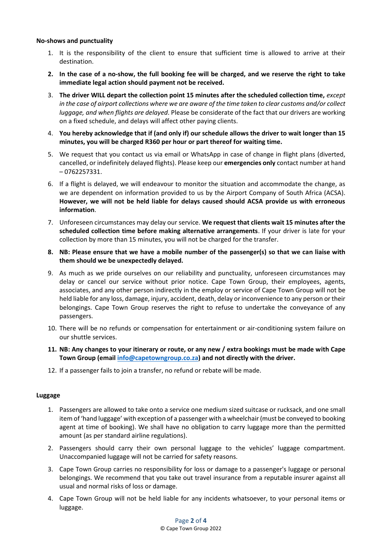## **No-shows and punctuality**

- 1. It is the responsibility of the client to ensure that sufficient time is allowed to arrive at their destination.
- **2. In the case of a no-show, the full booking fee will be charged, and we reserve the right to take immediate legal action should payment not be received.**
- 3. **The driver WILL depart the collection point 15 minutes after the scheduled collection time,** *except in the case of airport collections where we are aware of the time taken to clear customs and/or collect luggage, and when flights are delayed*. Please be considerate of the fact that our drivers are working on a fixed schedule, and delays will affect other paying clients.
- 4. **You hereby acknowledge that if (and only if) our schedule allows the driver to wait longer than 15 minutes, you will be charged R360 per hour or part thereof for waiting time.**
- 5. We request that you contact us via email or WhatsApp in case of change in flight plans (diverted, cancelled, or indefinitely delayed flights). Please keep our **emergencies only** contact number at hand – 0762257331.
- 6. If a flight is delayed, we will endeavour to monitor the situation and accommodate the change, as we are dependent on information provided to us by the Airport Company of South Africa (ACSA). **However, we will not be held liable for delays caused should ACSA provide us with erroneous information**.
- 7. Unforeseen circumstances may delay our service. **We request that clients wait 15 minutes after the scheduled collection time before making alternative arrangements**. If your driver is late for your collection by more than 15 minutes, you will not be charged for the transfer.
- **8. NB: Please ensure that we have a mobile number of the passenger(s) so that we can liaise with them should we be unexpectedly delayed.**
- 9. As much as we pride ourselves on our reliability and punctuality, unforeseen circumstances may delay or cancel our service without prior notice. Cape Town Group, their employees, agents, associates, and any other person indirectly in the employ or service of Cape Town Group will not be held liable for any loss, damage, injury, accident, death, delay or inconvenience to any person or their belongings. Cape Town Group reserves the right to refuse to undertake the conveyance of any passengers.
- 10. There will be no refunds or compensation for entertainment or air-conditioning system failure on our shuttle services.
- **11. NB: Any changes to your itinerary or route, or any new / extra bookings must be made with Cape Town Group (email [info@capetowngroup.co.za\)](mailto:info@capetowngroup.co.za) and not directly with the driver.**
- 12. If a passenger fails to join a transfer, no refund or rebate will be made.

## **Luggage**

- 1. Passengers are allowed to take onto a service one medium sized suitcase or rucksack, and one small item of 'hand luggage' with exception of a passenger with a wheelchair (must be conveyed to booking agent at time of booking). We shall have no obligation to carry luggage more than the permitted amount (as per standard airline regulations).
- 2. Passengers should carry their own personal luggage to the vehicles' luggage compartment. Unaccompanied luggage will not be carried for safety reasons.
- 3. Cape Town Group carries no responsibility for loss or damage to a passenger's luggage or personal belongings. We recommend that you take out travel insurance from a reputable insurer against all usual and normal risks of loss or damage.
- 4. Cape Town Group will not be held liable for any incidents whatsoever, to your personal items or luggage.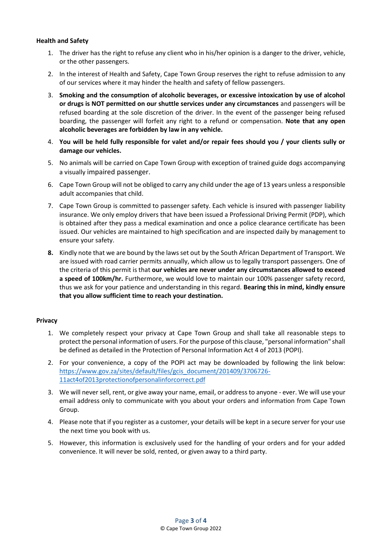## **Health and Safety**

- 1. The driver has the right to refuse any client who in his/her opinion is a danger to the driver, vehicle, or the other passengers.
- 2. In the interest of Health and Safety, Cape Town Group reserves the right to refuse admission to any of our services where it may hinder the health and safety of fellow passengers.
- 3. **Smoking and the consumption of alcoholic beverages, or excessive intoxication by use of alcohol or drugs is NOT permitted on our shuttle services under any circumstances** and passengers will be refused boarding at the sole discretion of the driver. In the event of the passenger being refused boarding, the passenger will forfeit any right to a refund or compensation. **Note that any open alcoholic beverages are forbidden by law in any vehicle.**
- 4. **You will be held fully responsible for valet and/or repair fees should you / your clients sully or damage our vehicles.**
- 5. No animals will be carried on Cape Town Group with exception of trained guide dogs accompanying a visually impaired passenger.
- 6. Cape Town Group will not be obliged to carry any child under the age of 13 years unless a responsible adult accompanies that child.
- 7. Cape Town Group is committed to passenger safety. Each vehicle is insured with passenger liability insurance. We only employ drivers that have been issued a Professional Driving Permit (PDP), which is obtained after they pass a medical examination and once a police clearance certificate has been issued. Our vehicles are maintained to high specification and are inspected daily by management to ensure your safety.
- **8.** Kindly note that we are bound by the laws set out by the South African Department of Transport. We are issued with road carrier permits annually, which allow us to legally transport passengers. One of the criteria of this permit is that **our vehicles are never under any circumstances allowed to exceed a speed of 100km/hr.** Furthermore, we would love to maintain our 100% passenger safety record, thus we ask for your patience and understanding in this regard. **Bearing this in mind, kindly ensure that you allow sufficient time to reach your destination.**

## **Privacy**

- 1. We completely respect your privacy at Cape Town Group and shall take all reasonable steps to protect the personal information of users. For the purpose of this clause, "personal information" shall be defined as detailed in the Protection of Personal Information Act 4 of 2013 (POPI).
- 2. For your convenience, a copy of the POPI act may be downloaded by following the link below: [https://www.gov.za/sites/default/files/gcis\\_document/201409/3706726-](https://www.gov.za/sites/default/files/gcis_document/201409/3706726-11act4of2013protectionofpersonalinforcorrect.pdf) [11act4of2013protectionofpersonalinforcorrect.pdf](https://www.gov.za/sites/default/files/gcis_document/201409/3706726-11act4of2013protectionofpersonalinforcorrect.pdf)
- 3. We will never sell, rent, or give away your name, email, or address to anyone ever. We will use your email address only to communicate with you about your orders and information from Cape Town Group.
- 4. Please note that if you register as a customer, your details will be kept in a secure server for your use the next time you book with us.
- 5. However, this information is exclusively used for the handling of your orders and for your added convenience. It will never be sold, rented, or given away to a third party.